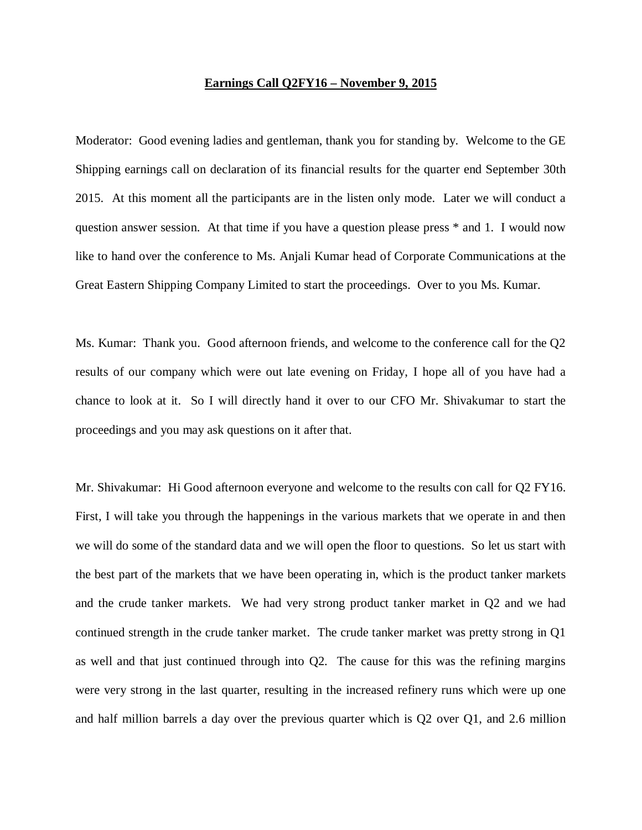## **Earnings Call Q2FY16 – November 9, 2015**

Moderator: Good evening ladies and gentleman, thank you for standing by. Welcome to the GE Shipping earnings call on declaration of its financial results for the quarter end September 30th 2015. At this moment all the participants are in the listen only mode. Later we will conduct a question answer session. At that time if you have a question please press \* and 1. I would now like to hand over the conference to Ms. Anjali Kumar head of Corporate Communications at the Great Eastern Shipping Company Limited to start the proceedings. Over to you Ms. Kumar.

Ms. Kumar: Thank you. Good afternoon friends, and welcome to the conference call for the Q2 results of our company which were out late evening on Friday, I hope all of you have had a chance to look at it. So I will directly hand it over to our CFO Mr. Shivakumar to start the proceedings and you may ask questions on it after that.

Mr. Shivakumar: Hi Good afternoon everyone and welcome to the results con call for Q2 FY16. First, I will take you through the happenings in the various markets that we operate in and then we will do some of the standard data and we will open the floor to questions. So let us start with the best part of the markets that we have been operating in, which is the product tanker markets and the crude tanker markets. We had very strong product tanker market in Q2 and we had continued strength in the crude tanker market. The crude tanker market was pretty strong in Q1 as well and that just continued through into Q2. The cause for this was the refining margins were very strong in the last quarter, resulting in the increased refinery runs which were up one and half million barrels a day over the previous quarter which is Q2 over Q1, and 2.6 million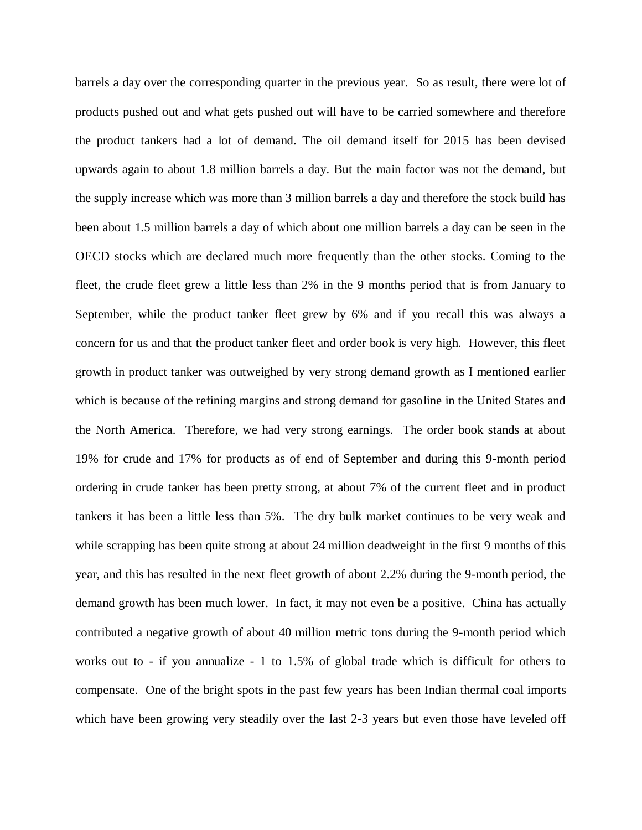barrels a day over the corresponding quarter in the previous year. So as result, there were lot of products pushed out and what gets pushed out will have to be carried somewhere and therefore the product tankers had a lot of demand. The oil demand itself for 2015 has been devised upwards again to about 1.8 million barrels a day. But the main factor was not the demand, but the supply increase which was more than 3 million barrels a day and therefore the stock build has been about 1.5 million barrels a day of which about one million barrels a day can be seen in the OECD stocks which are declared much more frequently than the other stocks. Coming to the fleet, the crude fleet grew a little less than 2% in the 9 months period that is from January to September, while the product tanker fleet grew by 6% and if you recall this was always a concern for us and that the product tanker fleet and order book is very high. However, this fleet growth in product tanker was outweighed by very strong demand growth as I mentioned earlier which is because of the refining margins and strong demand for gasoline in the United States and the North America. Therefore, we had very strong earnings. The order book stands at about 19% for crude and 17% for products as of end of September and during this 9-month period ordering in crude tanker has been pretty strong, at about 7% of the current fleet and in product tankers it has been a little less than 5%. The dry bulk market continues to be very weak and while scrapping has been quite strong at about 24 million deadweight in the first 9 months of this year, and this has resulted in the next fleet growth of about 2.2% during the 9-month period, the demand growth has been much lower. In fact, it may not even be a positive. China has actually contributed a negative growth of about 40 million metric tons during the 9-month period which works out to - if you annualize - 1 to 1.5% of global trade which is difficult for others to compensate. One of the bright spots in the past few years has been Indian thermal coal imports which have been growing very steadily over the last 2-3 years but even those have leveled off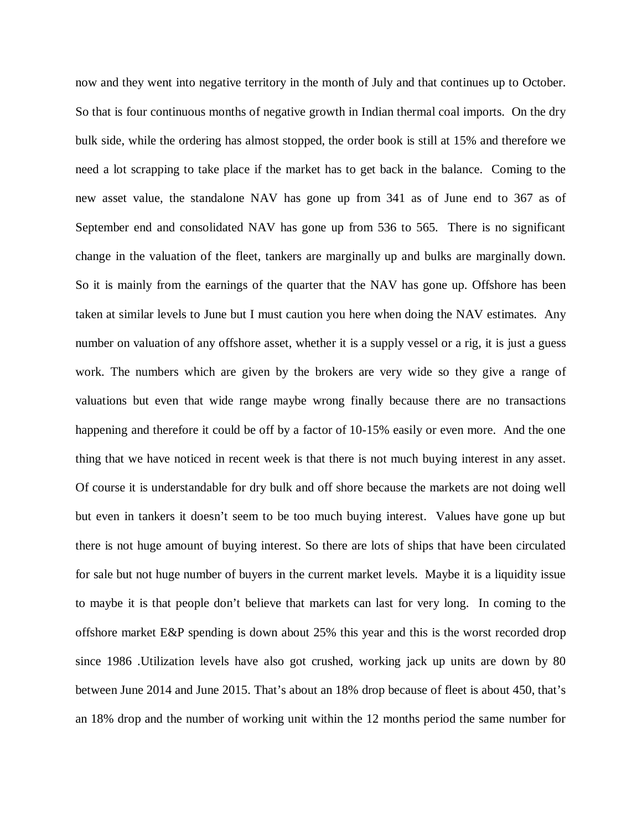now and they went into negative territory in the month of July and that continues up to October. So that is four continuous months of negative growth in Indian thermal coal imports. On the dry bulk side, while the ordering has almost stopped, the order book is still at 15% and therefore we need a lot scrapping to take place if the market has to get back in the balance. Coming to the new asset value, the standalone NAV has gone up from 341 as of June end to 367 as of September end and consolidated NAV has gone up from 536 to 565. There is no significant change in the valuation of the fleet, tankers are marginally up and bulks are marginally down. So it is mainly from the earnings of the quarter that the NAV has gone up. Offshore has been taken at similar levels to June but I must caution you here when doing the NAV estimates. Any number on valuation of any offshore asset, whether it is a supply vessel or a rig, it is just a guess work. The numbers which are given by the brokers are very wide so they give a range of valuations but even that wide range maybe wrong finally because there are no transactions happening and therefore it could be off by a factor of 10-15% easily or even more. And the one thing that we have noticed in recent week is that there is not much buying interest in any asset. Of course it is understandable for dry bulk and off shore because the markets are not doing well but even in tankers it doesn't seem to be too much buying interest. Values have gone up but there is not huge amount of buying interest. So there are lots of ships that have been circulated for sale but not huge number of buyers in the current market levels. Maybe it is a liquidity issue to maybe it is that people don't believe that markets can last for very long. In coming to the offshore market E&P spending is down about 25% this year and this is the worst recorded drop since 1986 .Utilization levels have also got crushed, working jack up units are down by 80 between June 2014 and June 2015. That's about an 18% drop because of fleet is about 450, that's an 18% drop and the number of working unit within the 12 months period the same number for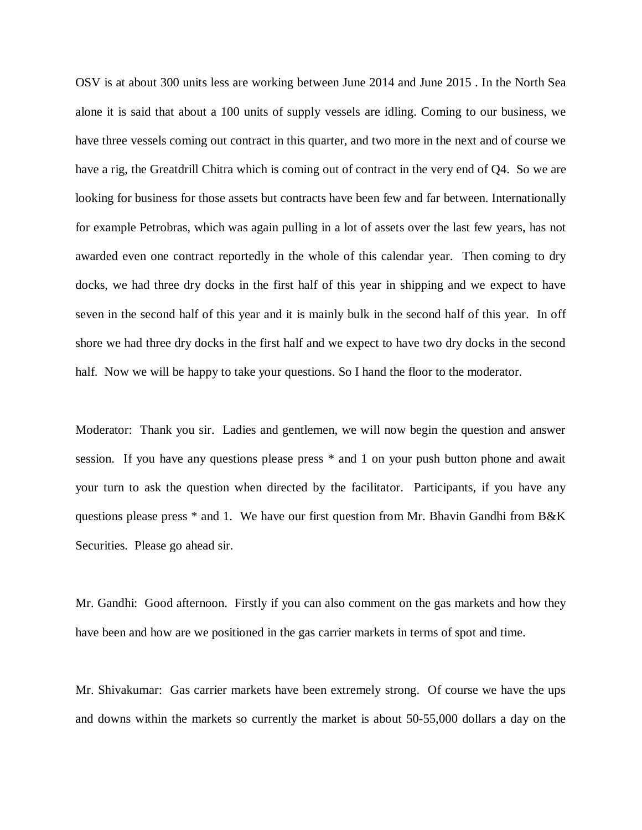OSV is at about 300 units less are working between June 2014 and June 2015 . In the North Sea alone it is said that about a 100 units of supply vessels are idling. Coming to our business, we have three vessels coming out contract in this quarter, and two more in the next and of course we have a rig, the Greatdrill Chitra which is coming out of contract in the very end of Q4. So we are looking for business for those assets but contracts have been few and far between. Internationally for example Petrobras, which was again pulling in a lot of assets over the last few years, has not awarded even one contract reportedly in the whole of this calendar year. Then coming to dry docks, we had three dry docks in the first half of this year in shipping and we expect to have seven in the second half of this year and it is mainly bulk in the second half of this year. In off shore we had three dry docks in the first half and we expect to have two dry docks in the second half. Now we will be happy to take your questions. So I hand the floor to the moderator.

Moderator: Thank you sir. Ladies and gentlemen, we will now begin the question and answer session. If you have any questions please press \* and 1 on your push button phone and await your turn to ask the question when directed by the facilitator. Participants, if you have any questions please press \* and 1. We have our first question from Mr. Bhavin Gandhi from B&K Securities. Please go ahead sir.

Mr. Gandhi: Good afternoon. Firstly if you can also comment on the gas markets and how they have been and how are we positioned in the gas carrier markets in terms of spot and time.

Mr. Shivakumar: Gas carrier markets have been extremely strong. Of course we have the ups and downs within the markets so currently the market is about 50-55,000 dollars a day on the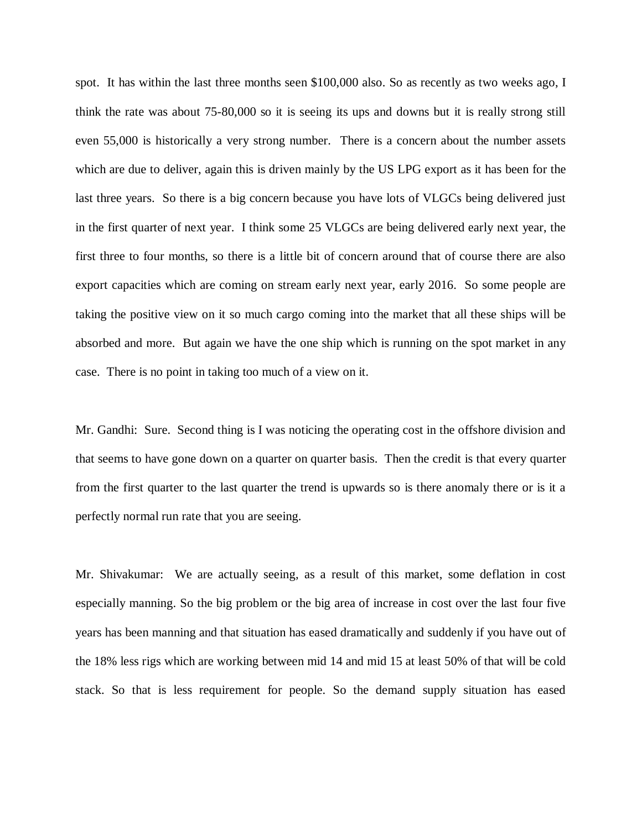spot. It has within the last three months seen \$100,000 also. So as recently as two weeks ago, I think the rate was about 75-80,000 so it is seeing its ups and downs but it is really strong still even 55,000 is historically a very strong number. There is a concern about the number assets which are due to deliver, again this is driven mainly by the US LPG export as it has been for the last three years. So there is a big concern because you have lots of VLGCs being delivered just in the first quarter of next year. I think some 25 VLGCs are being delivered early next year, the first three to four months, so there is a little bit of concern around that of course there are also export capacities which are coming on stream early next year, early 2016. So some people are taking the positive view on it so much cargo coming into the market that all these ships will be absorbed and more. But again we have the one ship which is running on the spot market in any case. There is no point in taking too much of a view on it.

Mr. Gandhi: Sure. Second thing is I was noticing the operating cost in the offshore division and that seems to have gone down on a quarter on quarter basis. Then the credit is that every quarter from the first quarter to the last quarter the trend is upwards so is there anomaly there or is it a perfectly normal run rate that you are seeing.

Mr. Shivakumar: We are actually seeing, as a result of this market, some deflation in cost especially manning. So the big problem or the big area of increase in cost over the last four five years has been manning and that situation has eased dramatically and suddenly if you have out of the 18% less rigs which are working between mid 14 and mid 15 at least 50% of that will be cold stack. So that is less requirement for people. So the demand supply situation has eased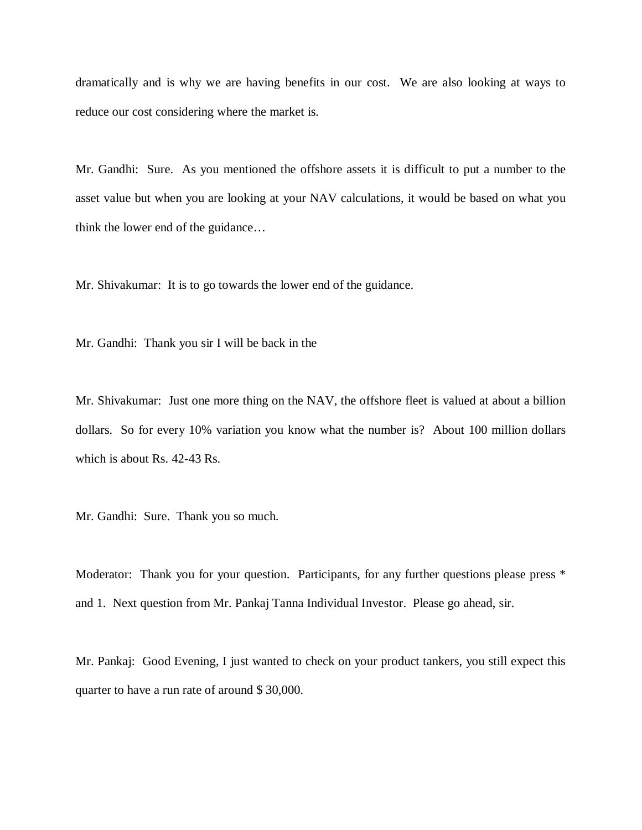dramatically and is why we are having benefits in our cost. We are also looking at ways to reduce our cost considering where the market is.

Mr. Gandhi: Sure. As you mentioned the offshore assets it is difficult to put a number to the asset value but when you are looking at your NAV calculations, it would be based on what you think the lower end of the guidance…

Mr. Shivakumar: It is to go towards the lower end of the guidance.

Mr. Gandhi: Thank you sir I will be back in the

Mr. Shivakumar: Just one more thing on the NAV, the offshore fleet is valued at about a billion dollars. So for every 10% variation you know what the number is? About 100 million dollars which is about Rs. 42-43 Rs.

Mr. Gandhi: Sure. Thank you so much.

Moderator: Thank you for your question. Participants, for any further questions please press  $*$ and 1. Next question from Mr. Pankaj Tanna Individual Investor. Please go ahead, sir.

Mr. Pankaj: Good Evening, I just wanted to check on your product tankers, you still expect this quarter to have a run rate of around \$ 30,000.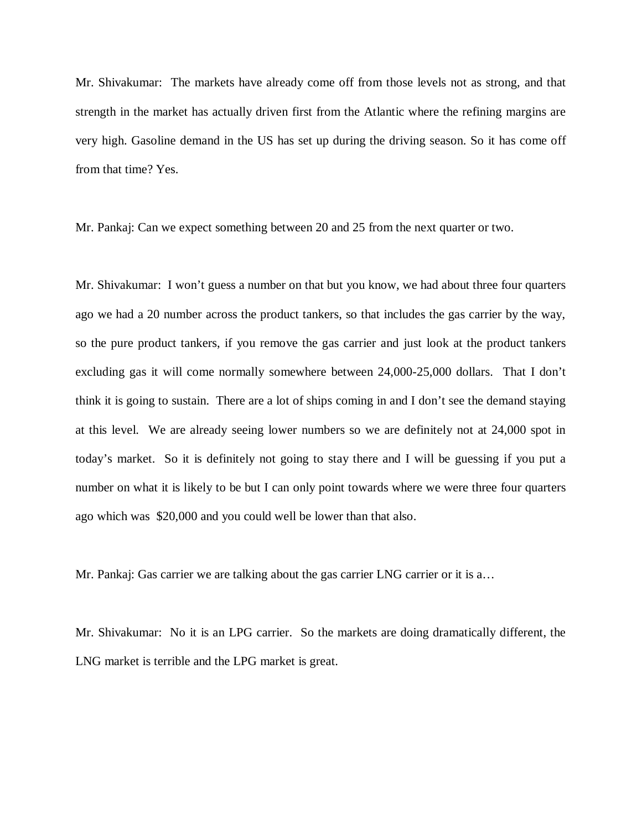Mr. Shivakumar: The markets have already come off from those levels not as strong, and that strength in the market has actually driven first from the Atlantic where the refining margins are very high. Gasoline demand in the US has set up during the driving season. So it has come off from that time? Yes.

Mr. Pankaj: Can we expect something between 20 and 25 from the next quarter or two.

Mr. Shivakumar: I won't guess a number on that but you know, we had about three four quarters ago we had a 20 number across the product tankers, so that includes the gas carrier by the way, so the pure product tankers, if you remove the gas carrier and just look at the product tankers excluding gas it will come normally somewhere between 24,000-25,000 dollars. That I don't think it is going to sustain. There are a lot of ships coming in and I don't see the demand staying at this level. We are already seeing lower numbers so we are definitely not at 24,000 spot in today's market. So it is definitely not going to stay there and I will be guessing if you put a number on what it is likely to be but I can only point towards where we were three four quarters ago which was \$20,000 and you could well be lower than that also.

Mr. Pankaj: Gas carrier we are talking about the gas carrier LNG carrier or it is a…

Mr. Shivakumar: No it is an LPG carrier. So the markets are doing dramatically different, the LNG market is terrible and the LPG market is great.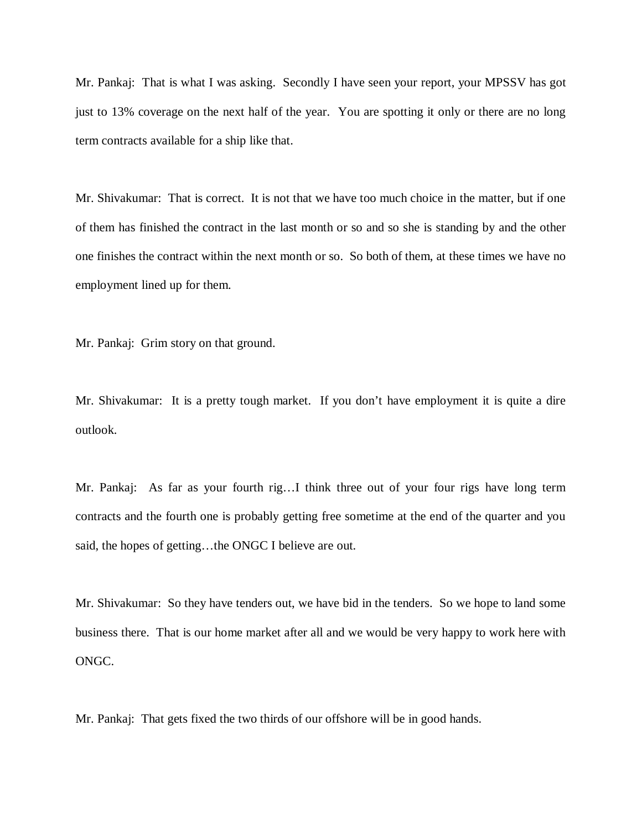Mr. Pankaj: That is what I was asking. Secondly I have seen your report, your MPSSV has got just to 13% coverage on the next half of the year. You are spotting it only or there are no long term contracts available for a ship like that.

Mr. Shivakumar: That is correct. It is not that we have too much choice in the matter, but if one of them has finished the contract in the last month or so and so she is standing by and the other one finishes the contract within the next month or so. So both of them, at these times we have no employment lined up for them.

Mr. Pankaj: Grim story on that ground.

Mr. Shivakumar: It is a pretty tough market. If you don't have employment it is quite a dire outlook.

Mr. Pankaj: As far as your fourth rig…I think three out of your four rigs have long term contracts and the fourth one is probably getting free sometime at the end of the quarter and you said, the hopes of getting…the ONGC I believe are out.

Mr. Shivakumar: So they have tenders out, we have bid in the tenders. So we hope to land some business there. That is our home market after all and we would be very happy to work here with ONGC.

Mr. Pankaj: That gets fixed the two thirds of our offshore will be in good hands.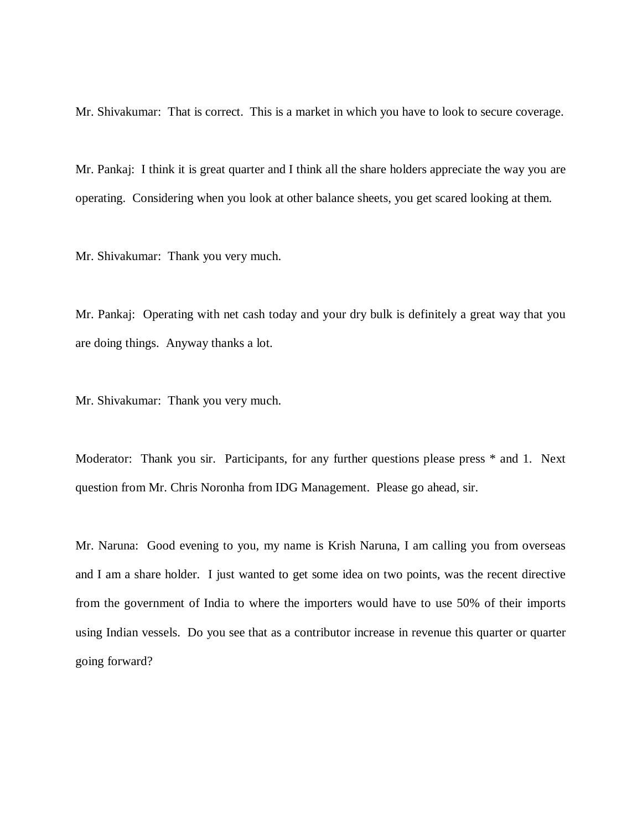Mr. Shivakumar: That is correct. This is a market in which you have to look to secure coverage.

Mr. Pankaj: I think it is great quarter and I think all the share holders appreciate the way you are operating. Considering when you look at other balance sheets, you get scared looking at them.

Mr. Shivakumar: Thank you very much.

Mr. Pankaj: Operating with net cash today and your dry bulk is definitely a great way that you are doing things. Anyway thanks a lot.

Mr. Shivakumar: Thank you very much.

Moderator: Thank you sir. Participants, for any further questions please press \* and 1. Next question from Mr. Chris Noronha from IDG Management. Please go ahead, sir.

Mr. Naruna: Good evening to you, my name is Krish Naruna, I am calling you from overseas and I am a share holder. I just wanted to get some idea on two points, was the recent directive from the government of India to where the importers would have to use 50% of their imports using Indian vessels. Do you see that as a contributor increase in revenue this quarter or quarter going forward?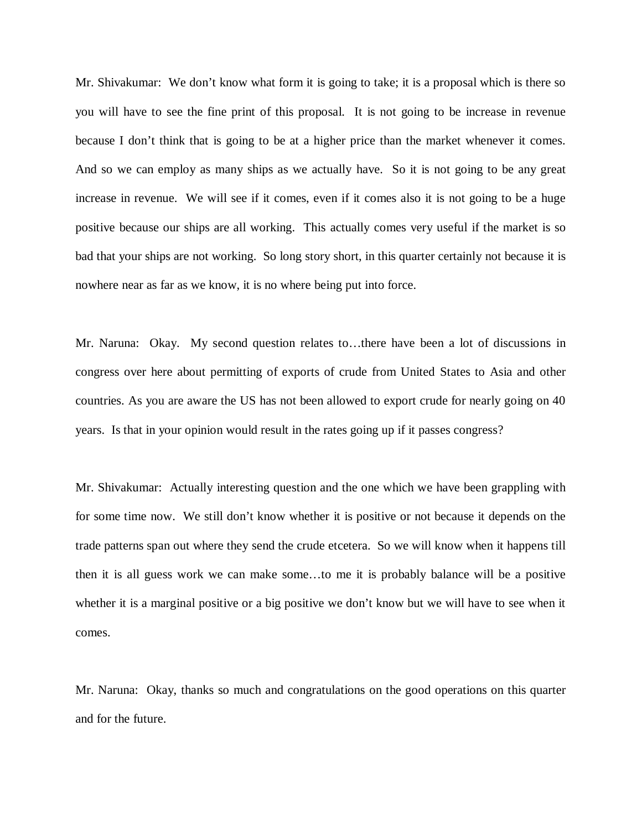Mr. Shivakumar: We don't know what form it is going to take; it is a proposal which is there so you will have to see the fine print of this proposal. It is not going to be increase in revenue because I don't think that is going to be at a higher price than the market whenever it comes. And so we can employ as many ships as we actually have. So it is not going to be any great increase in revenue. We will see if it comes, even if it comes also it is not going to be a huge positive because our ships are all working. This actually comes very useful if the market is so bad that your ships are not working. So long story short, in this quarter certainly not because it is nowhere near as far as we know, it is no where being put into force.

Mr. Naruna: Okay. My second question relates to…there have been a lot of discussions in congress over here about permitting of exports of crude from United States to Asia and other countries. As you are aware the US has not been allowed to export crude for nearly going on 40 years. Is that in your opinion would result in the rates going up if it passes congress?

Mr. Shivakumar: Actually interesting question and the one which we have been grappling with for some time now. We still don't know whether it is positive or not because it depends on the trade patterns span out where they send the crude etcetera. So we will know when it happens till then it is all guess work we can make some…to me it is probably balance will be a positive whether it is a marginal positive or a big positive we don't know but we will have to see when it comes.

Mr. Naruna: Okay, thanks so much and congratulations on the good operations on this quarter and for the future.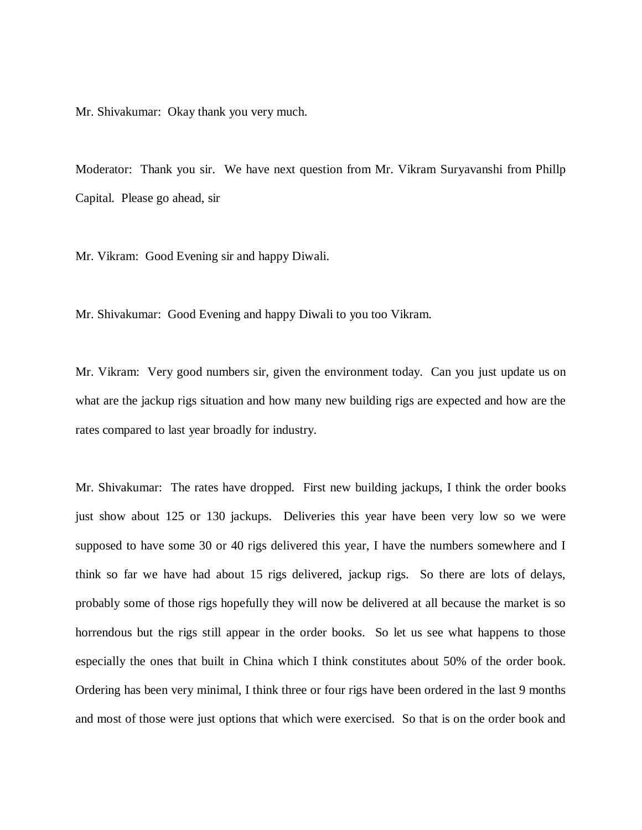Mr. Shivakumar: Okay thank you very much.

Moderator: Thank you sir. We have next question from Mr. Vikram Suryavanshi from Phillp Capital. Please go ahead, sir

Mr. Vikram: Good Evening sir and happy Diwali.

Mr. Shivakumar: Good Evening and happy Diwali to you too Vikram.

Mr. Vikram: Very good numbers sir, given the environment today. Can you just update us on what are the jackup rigs situation and how many new building rigs are expected and how are the rates compared to last year broadly for industry.

Mr. Shivakumar: The rates have dropped. First new building jackups, I think the order books just show about 125 or 130 jackups. Deliveries this year have been very low so we were supposed to have some 30 or 40 rigs delivered this year, I have the numbers somewhere and I think so far we have had about 15 rigs delivered, jackup rigs. So there are lots of delays, probably some of those rigs hopefully they will now be delivered at all because the market is so horrendous but the rigs still appear in the order books. So let us see what happens to those especially the ones that built in China which I think constitutes about 50% of the order book. Ordering has been very minimal, I think three or four rigs have been ordered in the last 9 months and most of those were just options that which were exercised. So that is on the order book and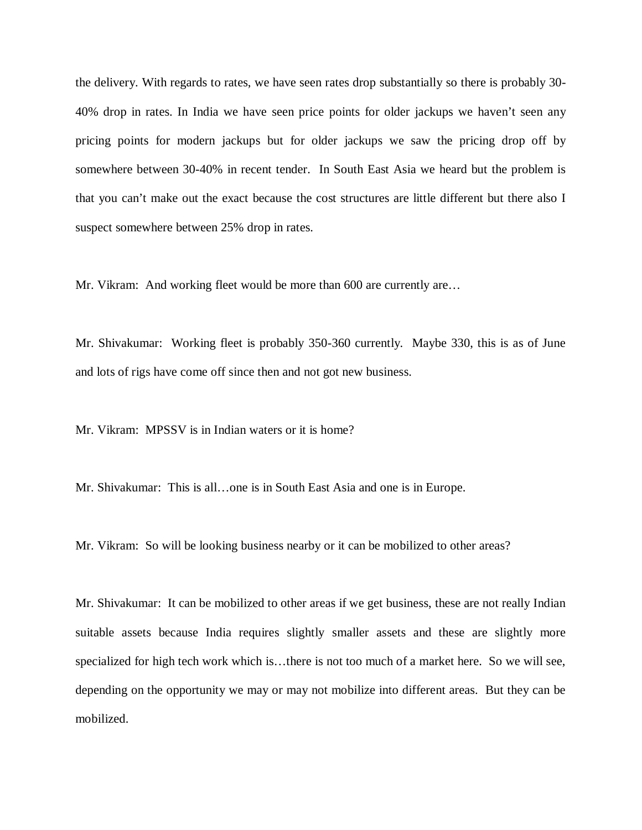the delivery. With regards to rates, we have seen rates drop substantially so there is probably 30- 40% drop in rates. In India we have seen price points for older jackups we haven't seen any pricing points for modern jackups but for older jackups we saw the pricing drop off by somewhere between 30-40% in recent tender. In South East Asia we heard but the problem is that you can't make out the exact because the cost structures are little different but there also I suspect somewhere between 25% drop in rates.

Mr. Vikram: And working fleet would be more than 600 are currently are…

Mr. Shivakumar: Working fleet is probably 350-360 currently. Maybe 330, this is as of June and lots of rigs have come off since then and not got new business.

Mr. Vikram: MPSSV is in Indian waters or it is home?

Mr. Shivakumar: This is all…one is in South East Asia and one is in Europe.

Mr. Vikram: So will be looking business nearby or it can be mobilized to other areas?

Mr. Shivakumar: It can be mobilized to other areas if we get business, these are not really Indian suitable assets because India requires slightly smaller assets and these are slightly more specialized for high tech work which is…there is not too much of a market here. So we will see, depending on the opportunity we may or may not mobilize into different areas. But they can be mobilized.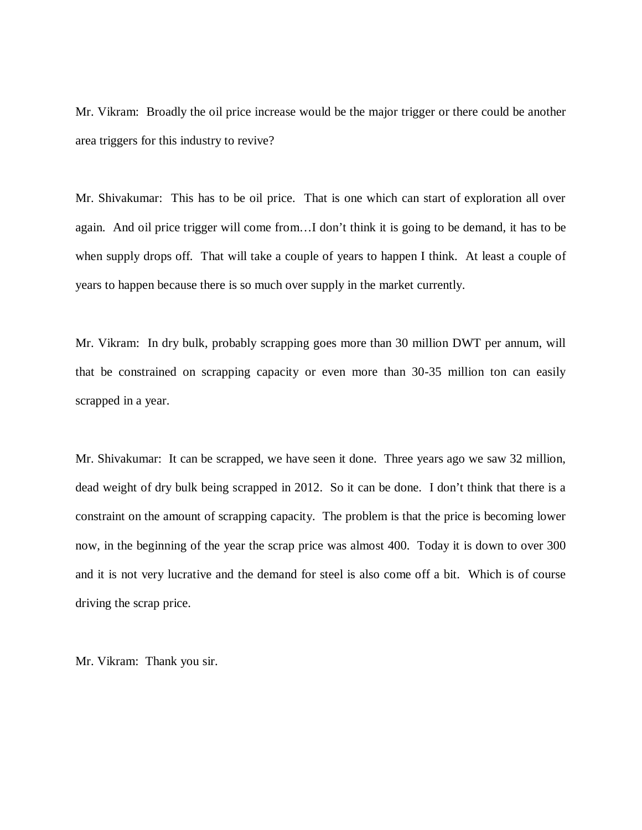Mr. Vikram: Broadly the oil price increase would be the major trigger or there could be another area triggers for this industry to revive?

Mr. Shivakumar: This has to be oil price. That is one which can start of exploration all over again. And oil price trigger will come from…I don't think it is going to be demand, it has to be when supply drops off. That will take a couple of years to happen I think. At least a couple of years to happen because there is so much over supply in the market currently.

Mr. Vikram: In dry bulk, probably scrapping goes more than 30 million DWT per annum, will that be constrained on scrapping capacity or even more than 30-35 million ton can easily scrapped in a year.

Mr. Shivakumar: It can be scrapped, we have seen it done. Three years ago we saw 32 million, dead weight of dry bulk being scrapped in 2012. So it can be done. I don't think that there is a constraint on the amount of scrapping capacity. The problem is that the price is becoming lower now, in the beginning of the year the scrap price was almost 400. Today it is down to over 300 and it is not very lucrative and the demand for steel is also come off a bit. Which is of course driving the scrap price.

Mr. Vikram: Thank you sir.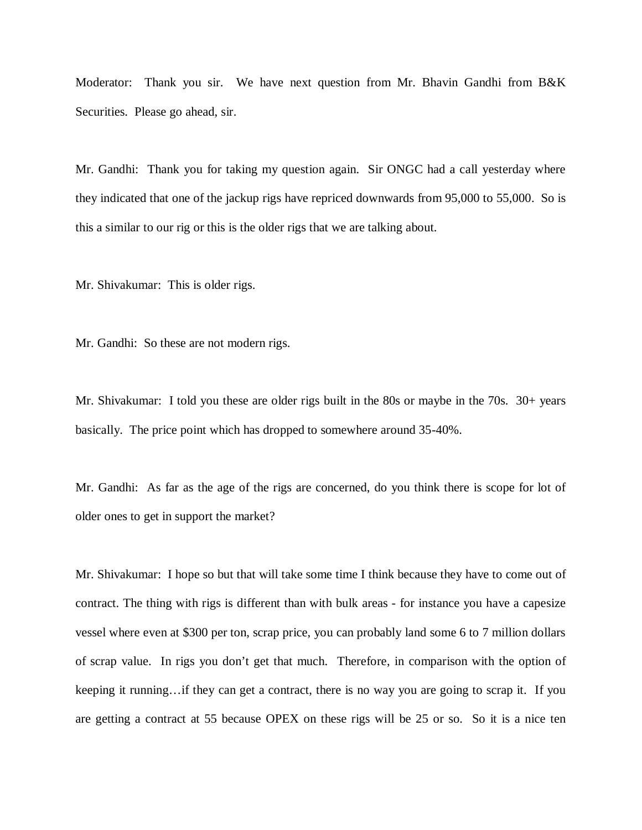Moderator: Thank you sir. We have next question from Mr. Bhavin Gandhi from B&K Securities. Please go ahead, sir.

Mr. Gandhi: Thank you for taking my question again. Sir ONGC had a call yesterday where they indicated that one of the jackup rigs have repriced downwards from 95,000 to 55,000. So is this a similar to our rig or this is the older rigs that we are talking about.

Mr. Shivakumar: This is older rigs.

Mr. Gandhi: So these are not modern rigs.

Mr. Shivakumar: I told you these are older rigs built in the 80s or maybe in the 70s. 30+ years basically. The price point which has dropped to somewhere around 35-40%.

Mr. Gandhi: As far as the age of the rigs are concerned, do you think there is scope for lot of older ones to get in support the market?

Mr. Shivakumar: I hope so but that will take some time I think because they have to come out of contract. The thing with rigs is different than with bulk areas - for instance you have a capesize vessel where even at \$300 per ton, scrap price, you can probably land some 6 to 7 million dollars of scrap value. In rigs you don't get that much. Therefore, in comparison with the option of keeping it running…if they can get a contract, there is no way you are going to scrap it. If you are getting a contract at 55 because OPEX on these rigs will be 25 or so. So it is a nice ten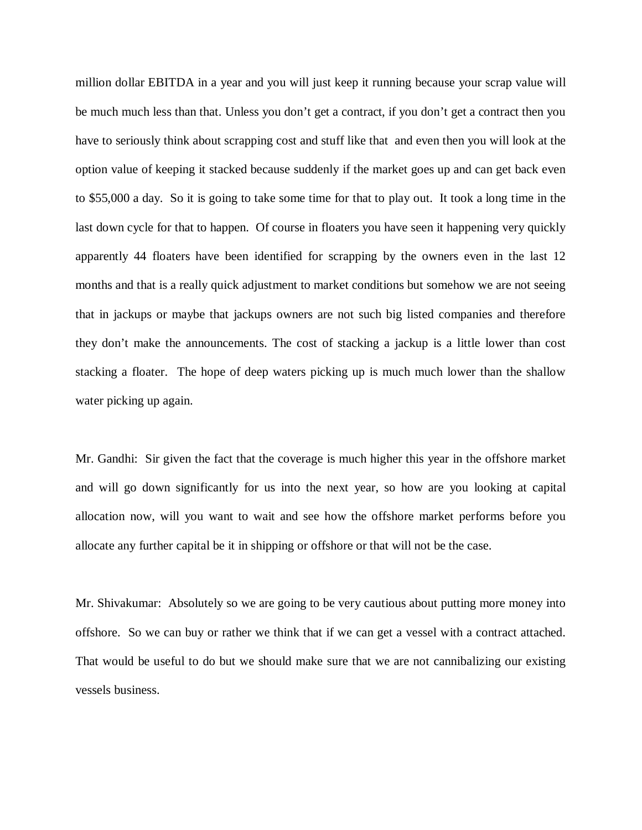million dollar EBITDA in a year and you will just keep it running because your scrap value will be much much less than that. Unless you don't get a contract, if you don't get a contract then you have to seriously think about scrapping cost and stuff like that and even then you will look at the option value of keeping it stacked because suddenly if the market goes up and can get back even to \$55,000 a day. So it is going to take some time for that to play out. It took a long time in the last down cycle for that to happen. Of course in floaters you have seen it happening very quickly apparently 44 floaters have been identified for scrapping by the owners even in the last 12 months and that is a really quick adjustment to market conditions but somehow we are not seeing that in jackups or maybe that jackups owners are not such big listed companies and therefore they don't make the announcements. The cost of stacking a jackup is a little lower than cost stacking a floater. The hope of deep waters picking up is much much lower than the shallow water picking up again.

Mr. Gandhi: Sir given the fact that the coverage is much higher this year in the offshore market and will go down significantly for us into the next year, so how are you looking at capital allocation now, will you want to wait and see how the offshore market performs before you allocate any further capital be it in shipping or offshore or that will not be the case.

Mr. Shivakumar: Absolutely so we are going to be very cautious about putting more money into offshore. So we can buy or rather we think that if we can get a vessel with a contract attached. That would be useful to do but we should make sure that we are not cannibalizing our existing vessels business.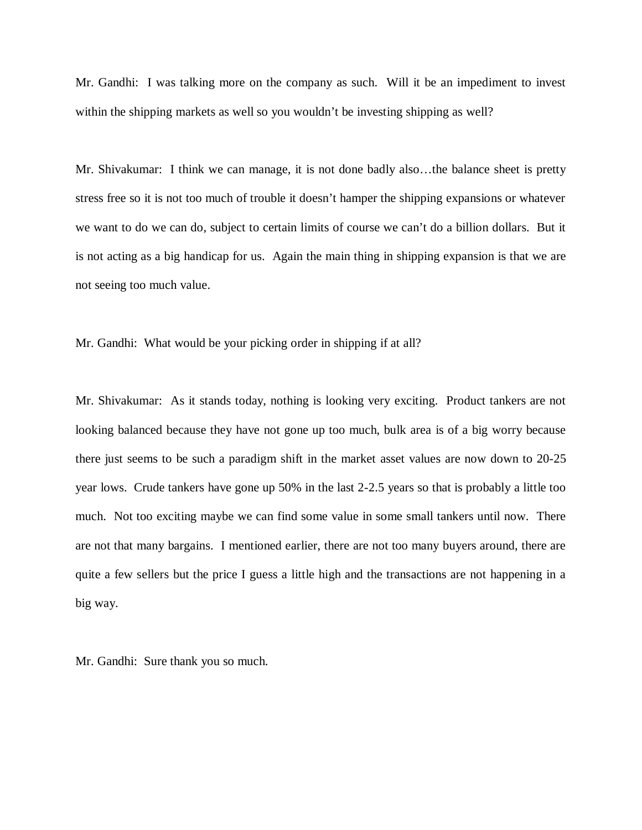Mr. Gandhi: I was talking more on the company as such. Will it be an impediment to invest within the shipping markets as well so you wouldn't be investing shipping as well?

Mr. Shivakumar: I think we can manage, it is not done badly also…the balance sheet is pretty stress free so it is not too much of trouble it doesn't hamper the shipping expansions or whatever we want to do we can do, subject to certain limits of course we can't do a billion dollars. But it is not acting as a big handicap for us. Again the main thing in shipping expansion is that we are not seeing too much value.

Mr. Gandhi: What would be your picking order in shipping if at all?

Mr. Shivakumar: As it stands today, nothing is looking very exciting. Product tankers are not looking balanced because they have not gone up too much, bulk area is of a big worry because there just seems to be such a paradigm shift in the market asset values are now down to 20-25 year lows. Crude tankers have gone up 50% in the last 2-2.5 years so that is probably a little too much. Not too exciting maybe we can find some value in some small tankers until now. There are not that many bargains. I mentioned earlier, there are not too many buyers around, there are quite a few sellers but the price I guess a little high and the transactions are not happening in a big way.

Mr. Gandhi: Sure thank you so much.